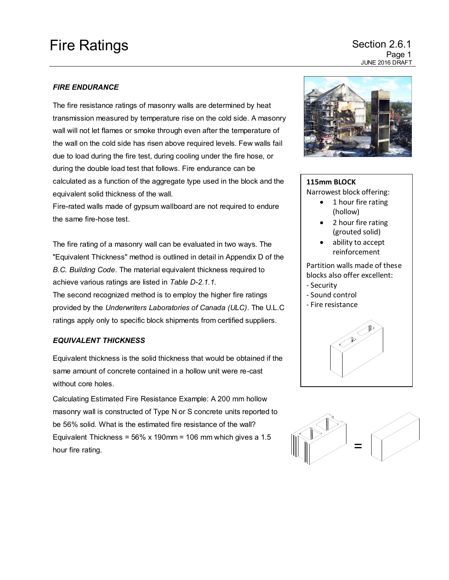# Fire Ratings **Section 2.6.1**

Page 1 JUNE 2016 DRAFT

### *FIRE ENDURANCE*

The fire resistance ratings of masonry walls are determined by heat transmission measured by temperature rise on the cold side. A masonry wall will not let flames or smoke through even after the temperature of the wall on the cold side has risen above required levels. Few walls fail due to load during the fire test, during cooling under the fire hose, or during the double load test that follows. Fire endurance can be calculated as a function of the aggregate type used in the block and the equivalent solid thickness of the wall.

Fire-rated walls made of gypsum wallboard are not required to endure the same fire-hose test.

The fire rating of a masonry wall can be evaluated in two ways. The "Equivalent Thickness" method is outlined in detail in Appendix D of the *B.C. Building Code*. The material equivalent thickness required to achieve various ratings are listed in *Table D-2.1.1*.

The second recognized method is to employ the higher fire ratings provided by the *Underwriters Laboratories of Canada (ULC)*. The U.L.C ratings apply only to specific block shipments from certified suppliers.

#### *EQUIVALENT THICKNESS*

Equivalent thickness is the solid thickness that would be obtained if the same amount of concrete contained in a hollow unit were re-cast without core holes.

Calculating Estimated Fire Resistance Example: A 200 mm hollow masonry wall is constructed of Type N or S concrete units reported to be 56% solid. What is the estimated fire resistance of the wall? Equivalent Thickness =  $56\%$  x 190mm = 106 mm which gives a 1.5 hour fire rating.  $\Box$  =



### **115mm BLOCK**

Narrowest block offering:

- 1 hour fire rating (hollow)
- 2 hour fire rating (grouted solid)
- ability to accept reinforcement

Partition walls made of these blocks also offer excellent: - Security

- Sound control
- Fire resistance